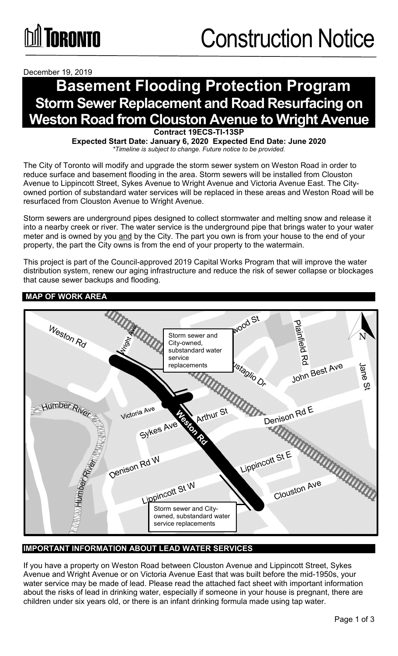December 19, 2019

# **Basement Flooding Protection Program Storm Sewer Replacement and Road Resurfacing on Weston Road from Clouston Avenue to Wright Avenue**

**Contract 19ECS-TI-13SP**

**Expected Start Date: January 6, 2020 Expected End Date: June 2020** *\*Timeline is subject to change. Future notice to be provided.*

The City of Toronto will modify and upgrade the storm sewer system on Weston Road in order to reduce surface and basement flooding in the area. Storm sewers will be installed from Clouston Avenue to Lippincott Street, Sykes Avenue to Wright Avenue and Victoria Avenue East. The Cityowned portion of substandard water services will be replaced in these areas and Weston Road will be resurfaced from Clouston Avenue to Wright Avenue.

Storm sewers are underground pipes designed to collect stormwater and melting snow and release it into a nearby creek or river. The water service is the underground pipe that brings water to your water meter and is owned by you and by the City. The part you own is from your house to the end of your property, the part the City owns is from the end of your property to the watermain.

This project is part of the Council-approved 2019 Capital Works Program that will improve the water distribution system, renew our aging infrastructure and reduce the risk of sewer collapse or blockages that cause sewer backups and flooding.

## **MAP OF WORK AREA**



## **IMPORTANT INFORMATION ABOUT LEAD WATER SERVICES**

If you have a property on Weston Road between Clouston Avenue and Lippincott Street, Sykes Avenue and Wright Avenue or on Victoria Avenue East that was built before the mid-1950s, your water service may be made of lead. Please read the attached fact sheet with important information about the risks of lead in drinking water, especially if someone in your house is pregnant, there are children under six years old, or there is an infant drinking formula made using tap water.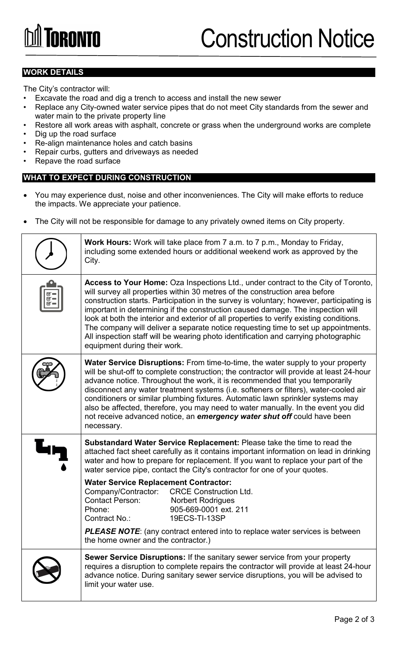#### **WORK DETAILS**

The City's contractor will:

- Excavate the road and dig a trench to access and install the new sewer
- Replace any City-owned water service pipes that do not meet City standards from the sewer and water main to the private property line
- Restore all work areas with asphalt, concrete or grass when the underground works are complete
- Dig up the road surface
- Re-align maintenance holes and catch basins
- Repair curbs, gutters and driveways as needed
- Repave the road surface

#### **WHAT TO EXPECT DURING CONSTRUCTION**

- You may experience dust, noise and other inconveniences. The City will make efforts to reduce the impacts. We appreciate your patience.
- The City will not be responsible for damage to any privately owned items on City property.

|          | <b>Work Hours:</b> Work will take place from 7 a.m. to 7 p.m., Monday to Friday,<br>including some extended hours or additional weekend work as approved by the<br>City.                                                                                                                                                                                                                                                                                                                                                                                                                                                                                |
|----------|---------------------------------------------------------------------------------------------------------------------------------------------------------------------------------------------------------------------------------------------------------------------------------------------------------------------------------------------------------------------------------------------------------------------------------------------------------------------------------------------------------------------------------------------------------------------------------------------------------------------------------------------------------|
| $\alpha$ | Access to Your Home: Oza Inspections Ltd., under contract to the City of Toronto,<br>will survey all properties within 30 metres of the construction area before<br>construction starts. Participation in the survey is voluntary; however, participating is<br>important in determining if the construction caused damage. The inspection will<br>look at both the interior and exterior of all properties to verify existing conditions.<br>The company will deliver a separate notice requesting time to set up appointments.<br>All inspection staff will be wearing photo identification and carrying photographic<br>equipment during their work. |
|          | Water Service Disruptions: From time-to-time, the water supply to your property<br>will be shut-off to complete construction; the contractor will provide at least 24-hour<br>advance notice. Throughout the work, it is recommended that you temporarily<br>disconnect any water treatment systems (i.e. softeners or filters), water-cooled air<br>conditioners or similar plumbing fixtures. Automatic lawn sprinkler systems may<br>also be affected, therefore, you may need to water manually. In the event you did<br>not receive advanced notice, an emergency water shut off could have been<br>necessary.                                     |
|          | <b>Substandard Water Service Replacement:</b> Please take the time to read the<br>attached fact sheet carefully as it contains important information on lead in drinking<br>water and how to prepare for replacement. If you want to replace your part of the<br>water service pipe, contact the City's contractor for one of your quotes.                                                                                                                                                                                                                                                                                                              |
|          | <b>Water Service Replacement Contractor:</b><br>Company/Contractor:<br><b>CRCE Construction Ltd.</b><br><b>Contact Person:</b><br><b>Norbert Rodrigues</b><br>Phone:<br>905-669-0001 ext. 211<br>19ECS-TI-13SP<br>Contract No.:                                                                                                                                                                                                                                                                                                                                                                                                                         |
|          | <b>PLEASE NOTE:</b> (any contract entered into to replace water services is between<br>the home owner and the contractor.)                                                                                                                                                                                                                                                                                                                                                                                                                                                                                                                              |
|          | Sewer Service Disruptions: If the sanitary sewer service from your property<br>requires a disruption to complete repairs the contractor will provide at least 24-hour<br>advance notice. During sanitary sewer service disruptions, you will be advised to<br>limit your water use.                                                                                                                                                                                                                                                                                                                                                                     |